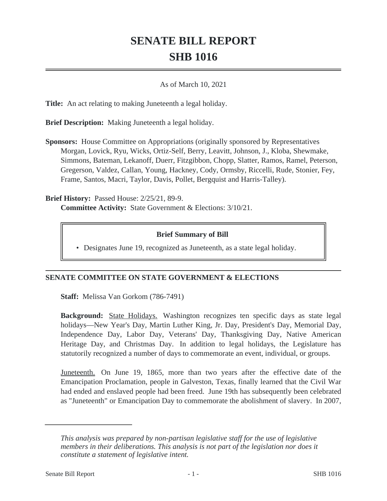# **SENATE BILL REPORT SHB 1016**

#### As of March 10, 2021

**Title:** An act relating to making Juneteenth a legal holiday.

**Brief Description:** Making Juneteenth a legal holiday.

**Sponsors:** House Committee on Appropriations (originally sponsored by Representatives Morgan, Lovick, Ryu, Wicks, Ortiz-Self, Berry, Leavitt, Johnson, J., Kloba, Shewmake, Simmons, Bateman, Lekanoff, Duerr, Fitzgibbon, Chopp, Slatter, Ramos, Ramel, Peterson, Gregerson, Valdez, Callan, Young, Hackney, Cody, Ormsby, Riccelli, Rude, Stonier, Fey, Frame, Santos, Macri, Taylor, Davis, Pollet, Bergquist and Harris-Talley).

**Brief History:** Passed House: 2/25/21, 89-9. **Committee Activity:** State Government & Elections: 3/10/21.

### **Brief Summary of Bill**

• Designates June 19, recognized as Juneteenth, as a state legal holiday.

## **SENATE COMMITTEE ON STATE GOVERNMENT & ELECTIONS**

**Staff:** Melissa Van Gorkom (786-7491)

**Background:** State Holidays. Washington recognizes ten specific days as state legal holidays—New Year's Day, Martin Luther King, Jr. Day, President's Day, Memorial Day, Independence Day, Labor Day, Veterans' Day, Thanksgiving Day, Native American Heritage Day, and Christmas Day. In addition to legal holidays, the Legislature has statutorily recognized a number of days to commemorate an event, individual, or groups.

Juneteenth. On June 19, 1865, more than two years after the effective date of the Emancipation Proclamation, people in Galveston, Texas, finally learned that the Civil War had ended and enslaved people had been freed. June 19th has subsequently been celebrated as "Juneteenth" or Emancipation Day to commemorate the abolishment of slavery. In 2007,

*This analysis was prepared by non-partisan legislative staff for the use of legislative members in their deliberations. This analysis is not part of the legislation nor does it constitute a statement of legislative intent.*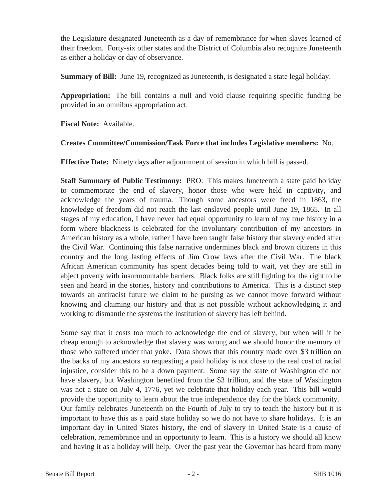the Legislature designated Juneteenth as a day of remembrance for when slaves learned of their freedom. Forty-six other states and the District of Columbia also recognize Juneteenth as either a holiday or day of observance.

**Summary of Bill:** June 19, recognized as Juneteenth, is designated a state legal holiday.

**Appropriation:** The bill contains a null and void clause requiring specific funding be provided in an omnibus appropriation act.

**Fiscal Note:** Available.

### **Creates Committee/Commission/Task Force that includes Legislative members:** No.

**Effective Date:** Ninety days after adjournment of session in which bill is passed.

**Staff Summary of Public Testimony:** PRO: This makes Juneteenth a state paid holiday to commemorate the end of slavery, honor those who were held in captivity, and acknowledge the years of trauma. Though some ancestors were freed in 1863, the knowledge of freedom did not reach the last enslaved people until June 19, 1865. In all stages of my education, I have never had equal opportunity to learn of my true history in a form where blackness is celebrated for the involuntary contribution of my ancestors in American history as a whole, rather I have been taught false history that slavery ended after the Civil War. Continuing this false narrative undermines black and brown citizens in this country and the long lasting effects of Jim Crow laws after the Civil War. The black African American community has spent decades being told to wait, yet they are still in abject poverty with insurmountable barriers. Black folks are still fighting for the right to be seen and heard in the stories, history and contributions to America. This is a distinct step towards an antiracist future we claim to be pursing as we cannot move forward without knowing and claiming our history and that is not possible without acknowledging it and working to dismantle the systems the institution of slavery has left behind.

Some say that it costs too much to acknowledge the end of slavery, but when will it be cheap enough to acknowledge that slavery was wrong and we should honor the memory of those who suffered under that yoke. Data shows that this country made over \$3 trillion on the backs of my ancestors so requesting a paid holiday is not close to the real cost of racial injustice, consider this to be a down payment. Some say the state of Washington did not have slavery, but Washington benefited from the \$3 trillion, and the state of Washington was not a state on July 4, 1776, yet we celebrate that holiday each year. This bill would provide the opportunity to learn about the true independence day for the black community. Our family celebrates Juneteenth on the Fourth of July to try to teach the history but it is important to have this as a paid state holiday so we do not have to share holidays. It is an important day in United States history, the end of slavery in United State is a cause of celebration, remembrance and an opportunity to learn. This is a history we should all know and having it as a holiday will help. Over the past year the Governor has heard from many